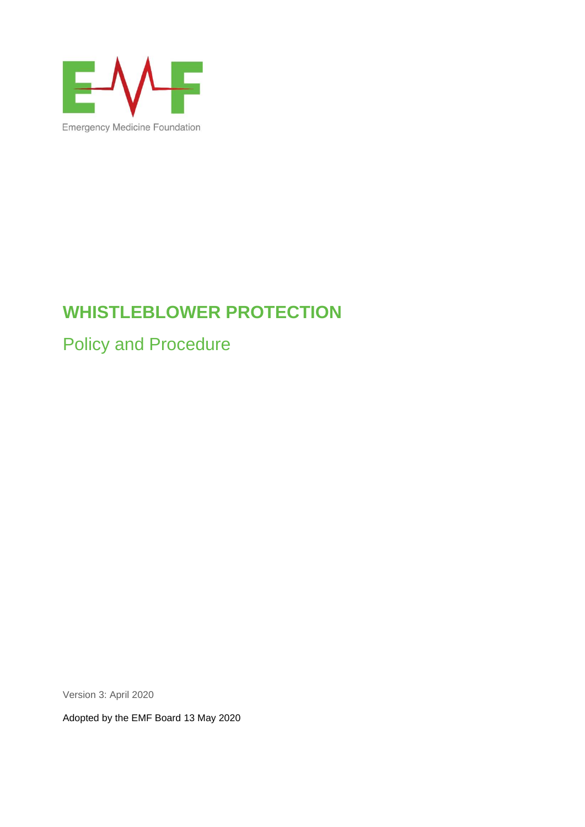

# **WHISTLEBLOWER PROTECTION**

Policy and Procedure

Version 3: April 2020

Adopted by the EMF Board 13 May 2020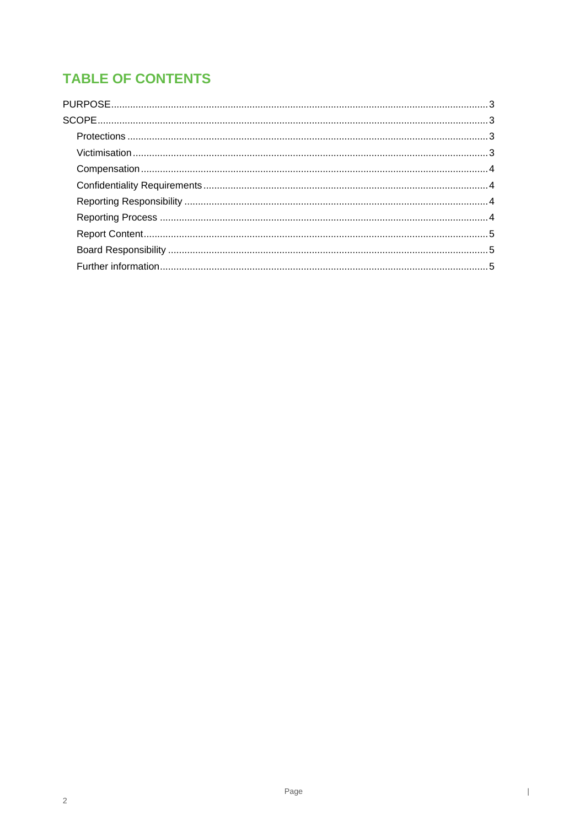## **TABLE OF CONTENTS**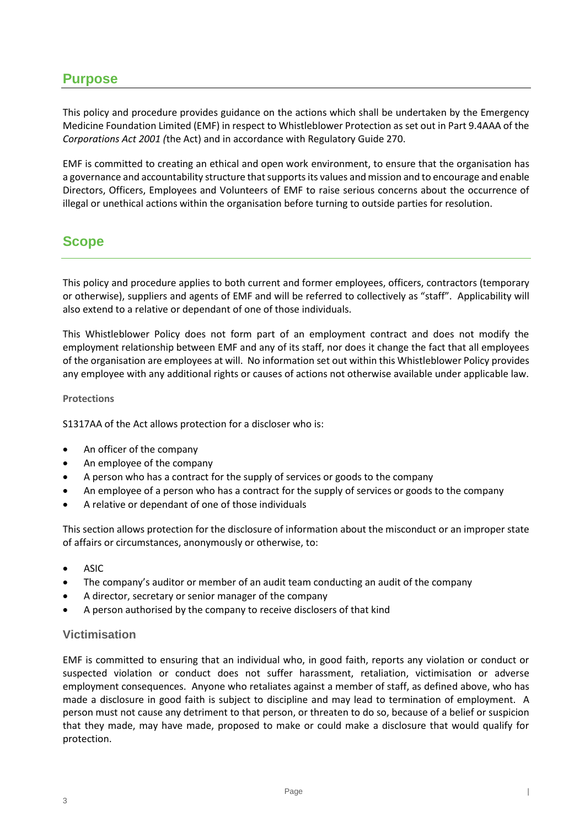### <span id="page-2-0"></span>**Purpose**

This policy and procedure provides guidance on the actions which shall be undertaken by the Emergency Medicine Foundation Limited (EMF) in respect to Whistleblower Protection as set out in Part 9.4AAA of the *Corporations Act 2001 (*the Act) and in accordance with Regulatory Guide 270.

EMF is committed to creating an ethical and open work environment, to ensure that the organisation has a governance and accountability structure that supports its values and mission and to encourage and enable Directors, Officers, Employees and Volunteers of EMF to raise serious concerns about the occurrence of illegal or unethical actions within the organisation before turning to outside parties for resolution.

## <span id="page-2-1"></span>**Scope**

This policy and procedure applies to both current and former employees, officers, contractors (temporary or otherwise), suppliers and agents of EMF and will be referred to collectively as "staff". Applicability will also extend to a relative or dependant of one of those individuals.

This Whistleblower Policy does not form part of an employment contract and does not modify the employment relationship between EMF and any of its staff, nor does it change the fact that all employees of the organisation are employees at will. No information set out within this Whistleblower Policy provides any employee with any additional rights or causes of actions not otherwise available under applicable law.

#### <span id="page-2-2"></span>**Protections**

S1317AA of the Act allows protection for a discloser who is:

- An officer of the company
- An employee of the company
- A person who has a contract for the supply of services or goods to the company
- An employee of a person who has a contract for the supply of services or goods to the company
- A relative or dependant of one of those individuals

This section allows protection for the disclosure of information about the misconduct or an improper state of affairs or circumstances, anonymously or otherwise, to:

- ASIC
- The company's auditor or member of an audit team conducting an audit of the company
- A director, secretary or senior manager of the company
- A person authorised by the company to receive disclosers of that kind

#### <span id="page-2-3"></span>**Victimisation**

EMF is committed to ensuring that an individual who, in good faith, reports any violation or conduct or suspected violation or conduct does not suffer harassment, retaliation, victimisation or adverse employment consequences. Anyone who retaliates against a member of staff, as defined above, who has made a disclosure in good faith is subject to discipline and may lead to termination of employment. A person must not cause any detriment to that person, or threaten to do so, because of a belief or suspicion that they made, may have made, proposed to make or could make a disclosure that would qualify for protection.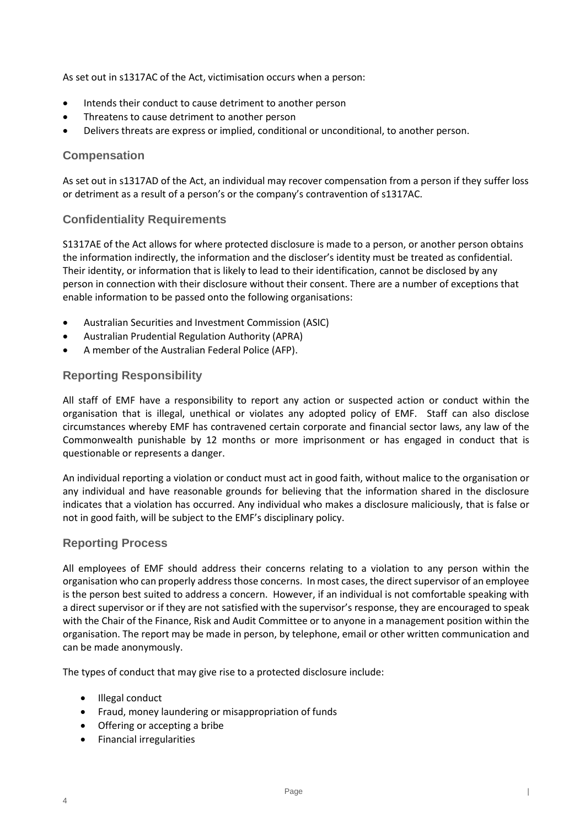As set out in s1317AC of the Act, victimisation occurs when a person:

- Intends their conduct to cause detriment to another person
- Threatens to cause detriment to another person
- Delivers threats are express or implied, conditional or unconditional, to another person.

#### <span id="page-3-0"></span>**Compensation**

As set out in s1317AD of the Act, an individual may recover compensation from a person if they suffer loss or detriment as a result of a person's or the company's contravention of s1317AC.

#### <span id="page-3-1"></span>**Confidentiality Requirements**

S1317AE of the Act allows for where protected disclosure is made to a person, or another person obtains the information indirectly, the information and the discloser's identity must be treated as confidential. Their identity, or information that is likely to lead to their identification, cannot be disclosed by any person in connection with their disclosure without their consent. There are a number of exceptions that enable information to be passed onto the following organisations:

- Australian Securities and Investment Commission (ASIC)
- Australian Prudential Regulation Authority (APRA)
- A member of the Australian Federal Police (AFP).

#### <span id="page-3-2"></span>**Reporting Responsibility**

All staff of EMF have a responsibility to report any action or suspected action or conduct within the organisation that is illegal, unethical or violates any adopted policy of EMF. Staff can also disclose circumstances whereby EMF has contravened certain corporate and financial sector laws, any law of the Commonwealth punishable by 12 months or more imprisonment or has engaged in conduct that is questionable or represents a danger.

An individual reporting a violation or conduct must act in good faith, without malice to the organisation or any individual and have reasonable grounds for believing that the information shared in the disclosure indicates that a violation has occurred. Any individual who makes a disclosure maliciously, that is false or not in good faith, will be subject to the EMF's disciplinary policy.

#### <span id="page-3-3"></span>**Reporting Process**

All employees of EMF should address their concerns relating to a violation to any person within the organisation who can properly address those concerns. In most cases, the direct supervisor of an employee is the person best suited to address a concern. However, if an individual is not comfortable speaking with a direct supervisor or if they are not satisfied with the supervisor's response, they are encouraged to speak with the Chair of the Finance, Risk and Audit Committee or to anyone in a management position within the organisation. The report may be made in person, by telephone, email or other written communication and can be made anonymously.

The types of conduct that may give rise to a protected disclosure include:

• Illegal conduct

4

- Fraud, money laundering or misappropriation of funds
- Offering or accepting a bribe
- Financial irregularities